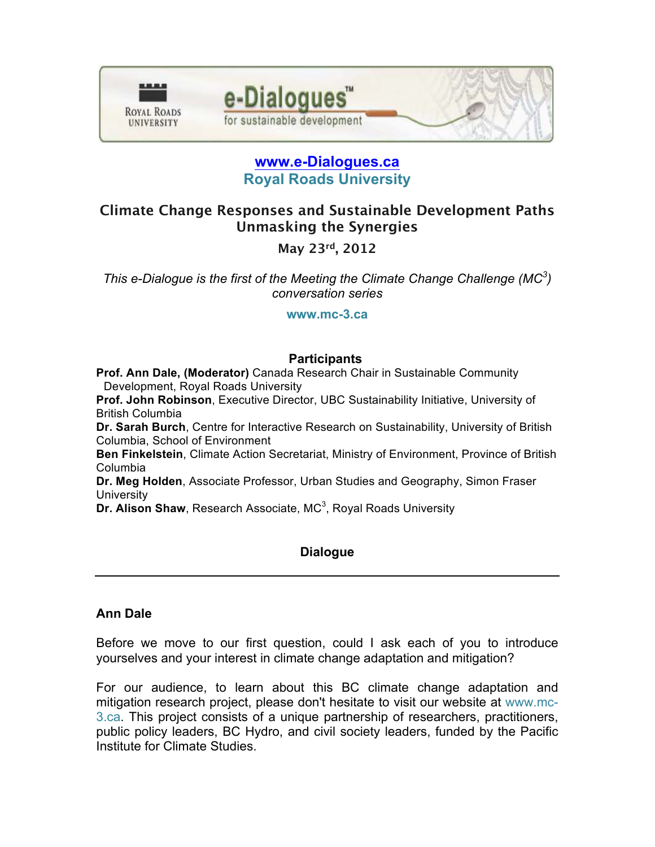



e-Dialogues

for sustainable development

# **Climate Change Responses and Sustainable Development Paths Unmasking the Synergies**

**May 23rd, 2012**

*This e-Dialogue is the first of the Meeting the Climate Change Challenge (MC3 ) conversation series*

**www.mc-3.ca**

## **Participants**

**Prof. Ann Dale, (Moderator)** Canada Research Chair in Sustainable Community Development, Royal Roads University

**Prof. John Robinson**, Executive Director, UBC Sustainability Initiative, University of British Columbia

**Dr. Sarah Burch**, Centre for Interactive Research on Sustainability, University of British Columbia, School of Environment

**Ben Finkelstein**, Climate Action Secretariat, Ministry of Environment, Province of British Columbia

**Dr. Meg Holden**, Associate Professor, Urban Studies and Geography, Simon Fraser **University** 

**Dr. Alison Shaw**, Research Associate, MC<sup>3</sup>, Royal Roads University

## **Dialogue**

## **Ann Dale**

Before we move to our first question, could I ask each of you to introduce yourselves and your interest in climate change adaptation and mitigation?

For our audience, to learn about this BC climate change adaptation and mitigation research project, please don't hesitate to visit our website at www.mc-3.ca. This project consists of a unique partnership of researchers, practitioners, public policy leaders, BC Hydro, and civil society leaders, funded by the Pacific Institute for Climate Studies.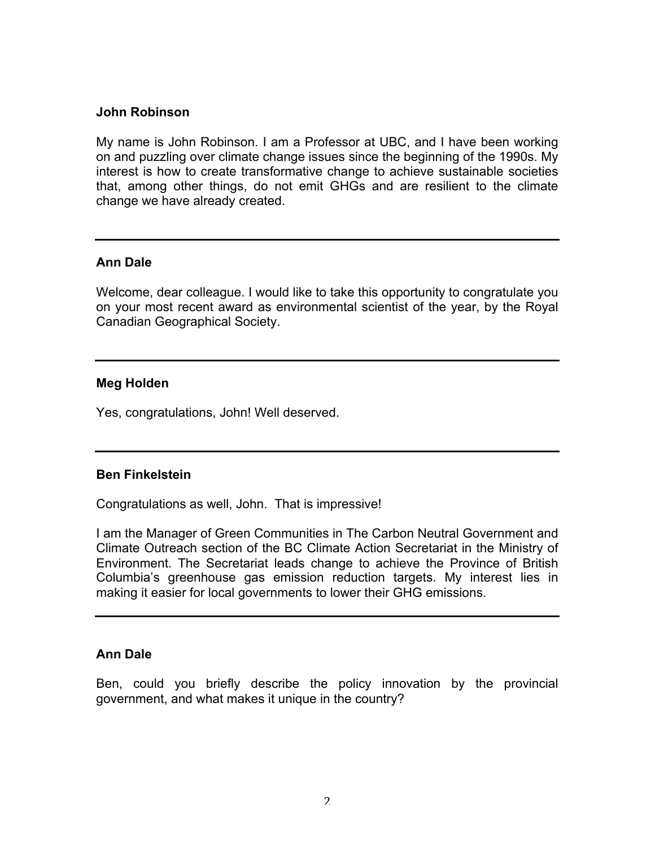#### **John Robinson**

My name is John Robinson. I am a Professor at UBC, and I have been working on and puzzling over climate change issues since the beginning of the 1990s. My interest is how to create transformative change to achieve sustainable societies that, among other things, do not emit GHGs and are resilient to the climate change we have already created.

#### **Ann Dale**

Welcome, dear colleague. I would like to take this opportunity to congratulate you on your most recent award as environmental scientist of the year, by the Royal Canadian Geographical Society.

#### **Meg Holden**

Yes, congratulations, John! Well deserved.

#### **Ben Finkelstein**

Congratulations as well, John. That is impressive!

I am the Manager of Green Communities in The Carbon Neutral Government and Climate Outreach section of the BC Climate Action Secretariat in the Ministry of Environment. The Secretariat leads change to achieve the Province of British Columbia's greenhouse gas emission reduction targets. My interest lies in making it easier for local governments to lower their GHG emissions.

#### **Ann Dale**

Ben, could you briefly describe the policy innovation by the provincial government, and what makes it unique in the country?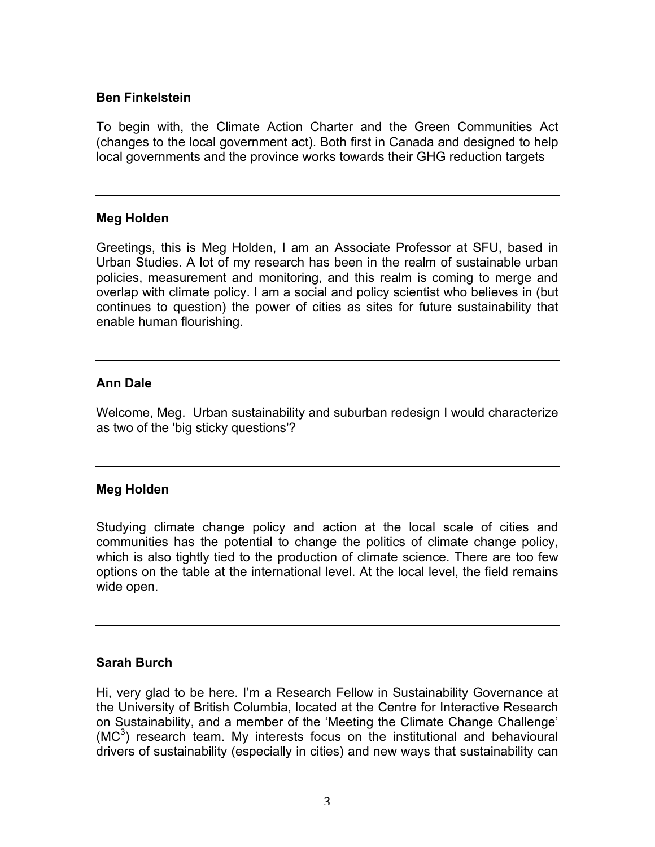## **Ben Finkelstein**

To begin with, the Climate Action Charter and the Green Communities Act (changes to the local government act). Both first in Canada and designed to help local governments and the province works towards their GHG reduction targets

### **Meg Holden**

Greetings, this is Meg Holden, I am an Associate Professor at SFU, based in Urban Studies. A lot of my research has been in the realm of sustainable urban policies, measurement and monitoring, and this realm is coming to merge and overlap with climate policy. I am a social and policy scientist who believes in (but continues to question) the power of cities as sites for future sustainability that enable human flourishing.

## **Ann Dale**

Welcome, Meg. Urban sustainability and suburban redesign I would characterize as two of the 'big sticky questions'?

## **Meg Holden**

Studying climate change policy and action at the local scale of cities and communities has the potential to change the politics of climate change policy, which is also tightly tied to the production of climate science. There are too few options on the table at the international level. At the local level, the field remains wide open.

#### **Sarah Burch**

Hi, very glad to be here. I'm a Research Fellow in Sustainability Governance at the University of British Columbia, located at the Centre for Interactive Research on Sustainability, and a member of the 'Meeting the Climate Change Challenge'  $(MC<sup>3</sup>)$  research team. My interests focus on the institutional and behavioural drivers of sustainability (especially in cities) and new ways that sustainability can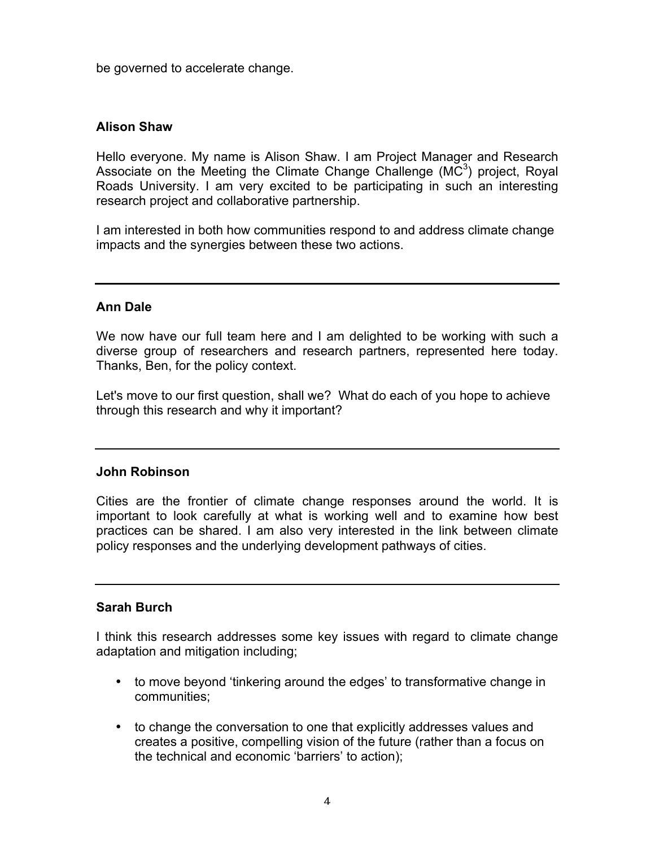be governed to accelerate change.

### **Alison Shaw**

Hello everyone. My name is Alison Shaw. I am Project Manager and Research Associate on the Meeting the Climate Change Challenge ( $MC<sup>3</sup>$ ) project, Royal Roads University. I am very excited to be participating in such an interesting research project and collaborative partnership.

I am interested in both how communities respond to and address climate change impacts and the synergies between these two actions.

### **Ann Dale**

We now have our full team here and I am delighted to be working with such a diverse group of researchers and research partners, represented here today. Thanks, Ben, for the policy context.

Let's move to our first question, shall we? What do each of you hope to achieve through this research and why it important?

#### **John Robinson**

Cities are the frontier of climate change responses around the world. It is important to look carefully at what is working well and to examine how best practices can be shared. I am also very interested in the link between climate policy responses and the underlying development pathways of cities.

#### **Sarah Burch**

I think this research addresses some key issues with regard to climate change adaptation and mitigation including;

- to move beyond 'tinkering around the edges' to transformative change in communities;
- to change the conversation to one that explicitly addresses values and creates a positive, compelling vision of the future (rather than a focus on the technical and economic 'barriers' to action);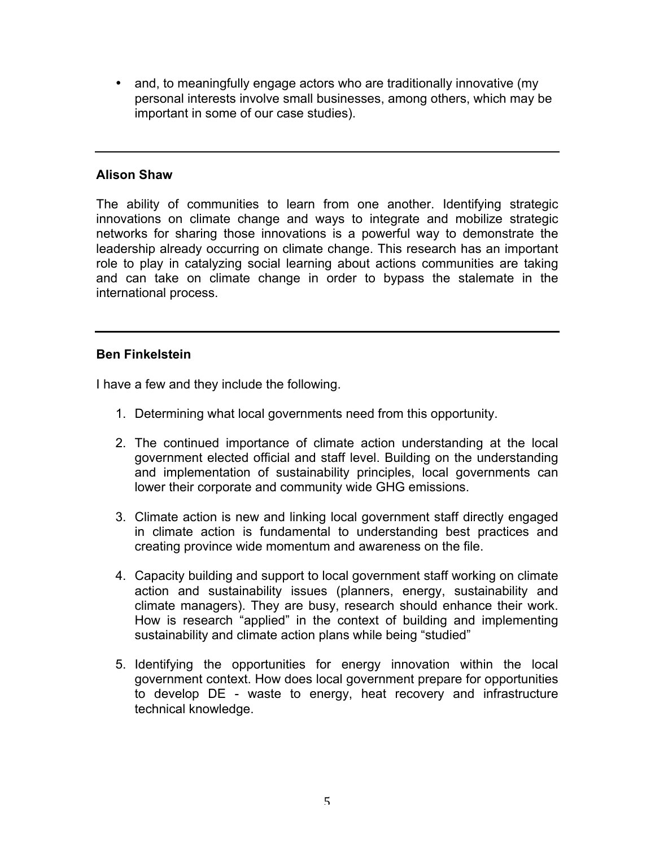• and, to meaningfully engage actors who are traditionally innovative (my personal interests involve small businesses, among others, which may be important in some of our case studies).

## **Alison Shaw**

The ability of communities to learn from one another. Identifying strategic innovations on climate change and ways to integrate and mobilize strategic networks for sharing those innovations is a powerful way to demonstrate the leadership already occurring on climate change. This research has an important role to play in catalyzing social learning about actions communities are taking and can take on climate change in order to bypass the stalemate in the international process.

## **Ben Finkelstein**

I have a few and they include the following.

- 1. Determining what local governments need from this opportunity.
- 2. The continued importance of climate action understanding at the local government elected official and staff level. Building on the understanding and implementation of sustainability principles, local governments can lower their corporate and community wide GHG emissions.
- 3. Climate action is new and linking local government staff directly engaged in climate action is fundamental to understanding best practices and creating province wide momentum and awareness on the file.
- 4. Capacity building and support to local government staff working on climate action and sustainability issues (planners, energy, sustainability and climate managers). They are busy, research should enhance their work. How is research "applied" in the context of building and implementing sustainability and climate action plans while being "studied"
- 5. Identifying the opportunities for energy innovation within the local government context. How does local government prepare for opportunities to develop DE - waste to energy, heat recovery and infrastructure technical knowledge.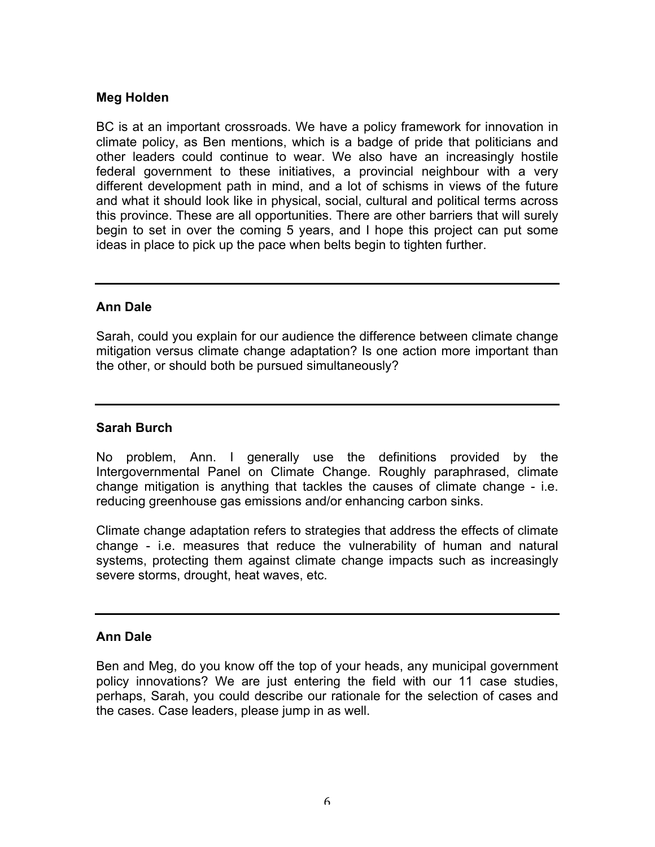## **Meg Holden**

BC is at an important crossroads. We have a policy framework for innovation in climate policy, as Ben mentions, which is a badge of pride that politicians and other leaders could continue to wear. We also have an increasingly hostile federal government to these initiatives, a provincial neighbour with a very different development path in mind, and a lot of schisms in views of the future and what it should look like in physical, social, cultural and political terms across this province. These are all opportunities. There are other barriers that will surely begin to set in over the coming 5 years, and I hope this project can put some ideas in place to pick up the pace when belts begin to tighten further.

## **Ann Dale**

Sarah, could you explain for our audience the difference between climate change mitigation versus climate change adaptation? Is one action more important than the other, or should both be pursued simultaneously?

## **Sarah Burch**

No problem, Ann. I generally use the definitions provided by the Intergovernmental Panel on Climate Change. Roughly paraphrased, climate change mitigation is anything that tackles the causes of climate change - i.e. reducing greenhouse gas emissions and/or enhancing carbon sinks.

Climate change adaptation refers to strategies that address the effects of climate change - i.e. measures that reduce the vulnerability of human and natural systems, protecting them against climate change impacts such as increasingly severe storms, drought, heat waves, etc.

## **Ann Dale**

Ben and Meg, do you know off the top of your heads, any municipal government policy innovations? We are just entering the field with our 11 case studies, perhaps, Sarah, you could describe our rationale for the selection of cases and the cases. Case leaders, please jump in as well.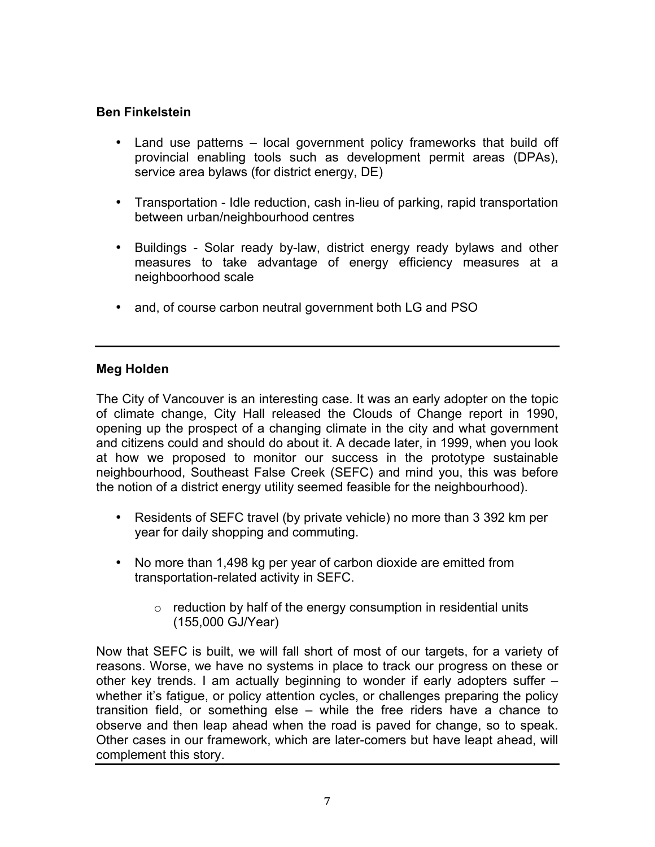# **Ben Finkelstein**

- Land use patterns local government policy frameworks that build off provincial enabling tools such as development permit areas (DPAs), service area bylaws (for district energy, DE)
- Transportation Idle reduction, cash in-lieu of parking, rapid transportation between urban/neighbourhood centres
- Buildings Solar ready by-law, district energy ready bylaws and other measures to take advantage of energy efficiency measures at a neighboorhood scale
- and, of course carbon neutral government both LG and PSO

# **Meg Holden**

The City of Vancouver is an interesting case. It was an early adopter on the topic of climate change, City Hall released the Clouds of Change report in 1990, opening up the prospect of a changing climate in the city and what government and citizens could and should do about it. A decade later, in 1999, when you look at how we proposed to monitor our success in the prototype sustainable neighbourhood, Southeast False Creek (SEFC) and mind you, this was before the notion of a district energy utility seemed feasible for the neighbourhood).

- Residents of SEFC travel (by private vehicle) no more than 3 392 km per year for daily shopping and commuting.
- No more than 1,498 kg per year of carbon dioxide are emitted from transportation-related activity in SEFC.
	- $\circ$  reduction by half of the energy consumption in residential units (155,000 GJ/Year)

Now that SEFC is built, we will fall short of most of our targets, for a variety of reasons. Worse, we have no systems in place to track our progress on these or other key trends. I am actually beginning to wonder if early adopters suffer – whether it's fatigue, or policy attention cycles, or challenges preparing the policy transition field, or something else – while the free riders have a chance to observe and then leap ahead when the road is paved for change, so to speak. Other cases in our framework, which are later-comers but have leapt ahead, will complement this story.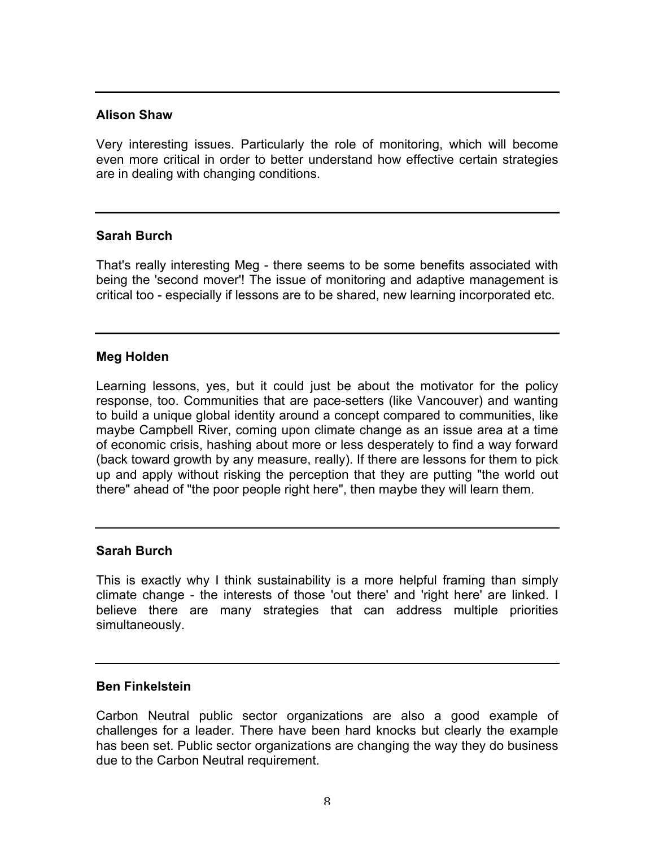### **Alison Shaw**

Very interesting issues. Particularly the role of monitoring, which will become even more critical in order to better understand how effective certain strategies are in dealing with changing conditions.

### **Sarah Burch**

That's really interesting Meg - there seems to be some benefits associated with being the 'second mover'! The issue of monitoring and adaptive management is critical too - especially if lessons are to be shared, new learning incorporated etc.

## **Meg Holden**

Learning lessons, yes, but it could just be about the motivator for the policy response, too. Communities that are pace-setters (like Vancouver) and wanting to build a unique global identity around a concept compared to communities, like maybe Campbell River, coming upon climate change as an issue area at a time of economic crisis, hashing about more or less desperately to find a way forward (back toward growth by any measure, really). If there are lessons for them to pick up and apply without risking the perception that they are putting "the world out there" ahead of "the poor people right here", then maybe they will learn them.

#### **Sarah Burch**

This is exactly why I think sustainability is a more helpful framing than simply climate change - the interests of those 'out there' and 'right here' are linked. I believe there are many strategies that can address multiple priorities simultaneously.

## **Ben Finkelstein**

Carbon Neutral public sector organizations are also a good example of challenges for a leader. There have been hard knocks but clearly the example has been set. Public sector organizations are changing the way they do business due to the Carbon Neutral requirement.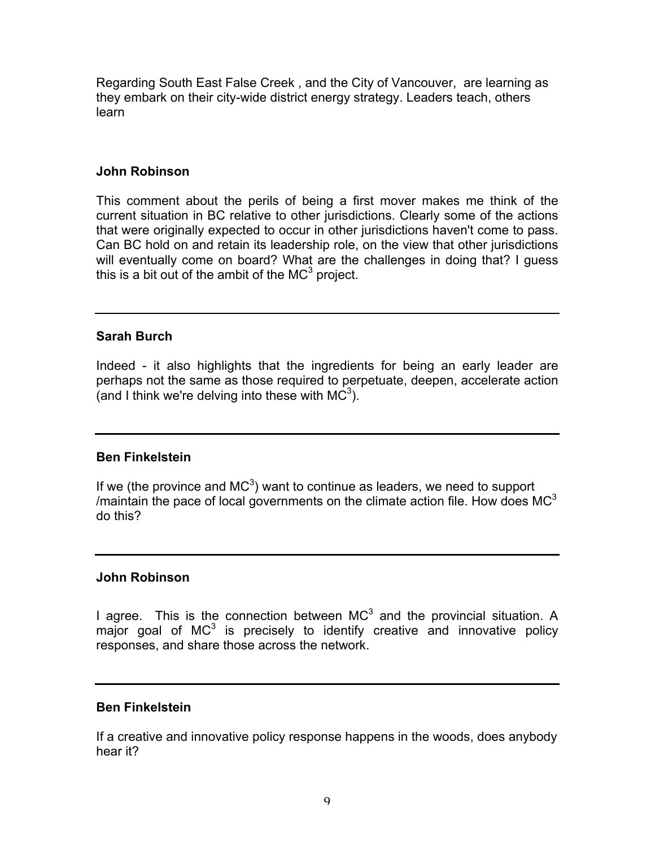Regarding South East False Creek , and the City of Vancouver, are learning as they embark on their city-wide district energy strategy. Leaders teach, others learn

## **John Robinson**

This comment about the perils of being a first mover makes me think of the current situation in BC relative to other jurisdictions. Clearly some of the actions that were originally expected to occur in other jurisdictions haven't come to pass. Can BC hold on and retain its leadership role, on the view that other jurisdictions will eventually come on board? What are the challenges in doing that? I guess this is a bit out of the ambit of the  $MC^3$  project.

## **Sarah Burch**

Indeed - it also highlights that the ingredients for being an early leader are perhaps not the same as those required to perpetuate, deepen, accelerate action (and I think we're delving into these with  $MC^3$ ).

# **Ben Finkelstein**

If we (the province and  $MC^3$ ) want to continue as leaders, we need to support /maintain the pace of local governments on the climate action file. How does  $MC<sup>3</sup>$ do this?

## **John Robinson**

I agree. This is the connection between  $MC<sup>3</sup>$  and the provincial situation. A major goal of  $MC^3$  is precisely to identify creative and innovative policy responses, and share those across the network.

## **Ben Finkelstein**

If a creative and innovative policy response happens in the woods, does anybody hear it?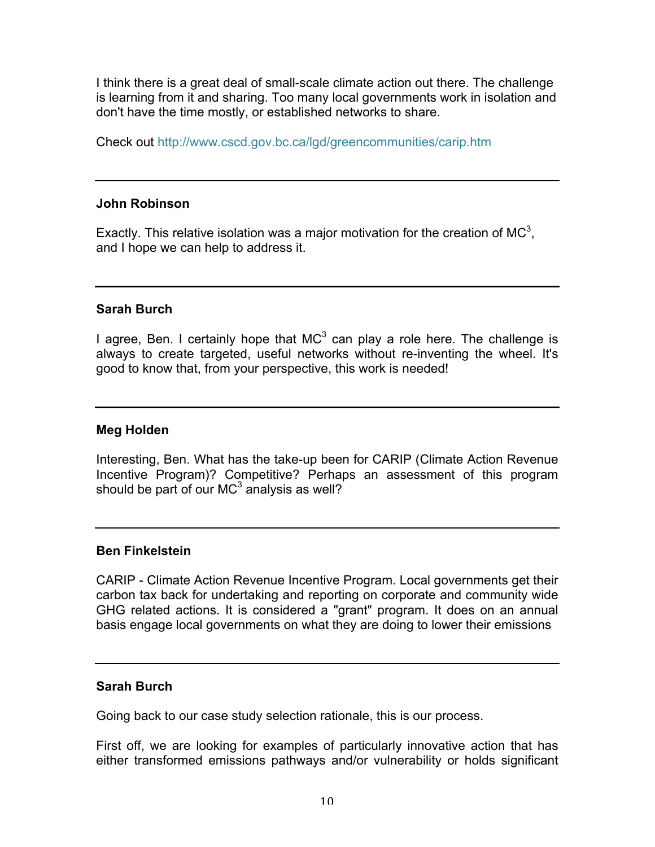I think there is a great deal of small-scale climate action out there. The challenge is learning from it and sharing. Too many local governments work in isolation and don't have the time mostly, or established networks to share.

Check out http://www.cscd.gov.bc.ca/lgd/greencommunities/carip.htm

### **John Robinson**

Exactly. This relative isolation was a major motivation for the creation of MC<sup>3</sup>, and I hope we can help to address it.

### **Sarah Burch**

I agree, Ben. I certainly hope that  $MC<sup>3</sup>$  can play a role here. The challenge is always to create targeted, useful networks without re-inventing the wheel. It's good to know that, from your perspective, this work is needed!

### **Meg Holden**

Interesting, Ben. What has the take-up been for CARIP (Climate Action Revenue Incentive Program)? Competitive? Perhaps an assessment of this program should be part of our  $MC^3$  analysis as well?

#### **Ben Finkelstein**

CARIP - Climate Action Revenue Incentive Program. Local governments get their carbon tax back for undertaking and reporting on corporate and community wide GHG related actions. It is considered a "grant" program. It does on an annual basis engage local governments on what they are doing to lower their emissions

## **Sarah Burch**

Going back to our case study selection rationale, this is our process.

First off, we are looking for examples of particularly innovative action that has either transformed emissions pathways and/or vulnerability or holds significant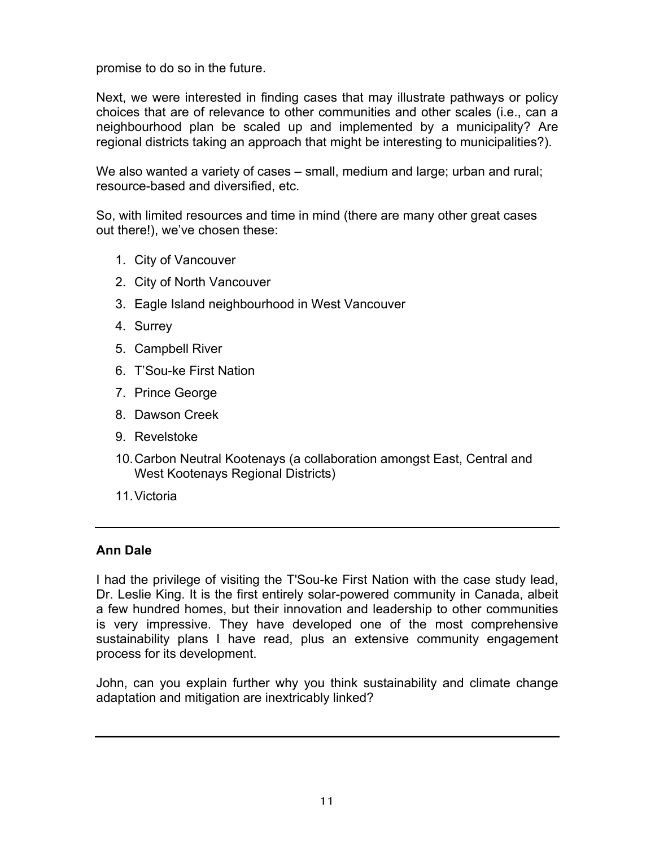promise to do so in the future.

Next, we were interested in finding cases that may illustrate pathways or policy choices that are of relevance to other communities and other scales (i.e., can a neighbourhood plan be scaled up and implemented by a municipality? Are regional districts taking an approach that might be interesting to municipalities?).

We also wanted a variety of cases – small, medium and large; urban and rural; resource-based and diversified, etc.

So, with limited resources and time in mind (there are many other great cases out there!), we've chosen these:

- 1. City of Vancouver
- 2. City of North Vancouver
- 3. Eagle Island neighbourhood in West Vancouver
- 4. Surrey
- 5. Campbell River
- 6. T'Sou-ke First Nation
- 7. Prince George
- 8. Dawson Creek
- 9. Revelstoke
- 10.Carbon Neutral Kootenays (a collaboration amongst East, Central and West Kootenays Regional Districts)
- 11.Victoria

## **Ann Dale**

I had the privilege of visiting the T'Sou-ke First Nation with the case study lead, Dr. Leslie King. It is the first entirely solar-powered community in Canada, albeit a few hundred homes, but their innovation and leadership to other communities is very impressive. They have developed one of the most comprehensive sustainability plans I have read, plus an extensive community engagement process for its development.

John, can you explain further why you think sustainability and climate change adaptation and mitigation are inextricably linked?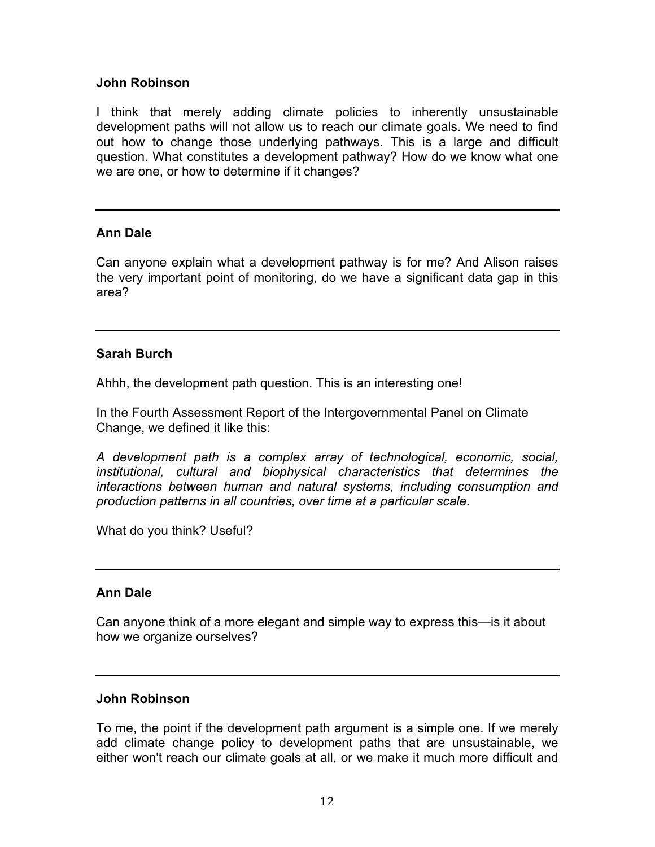## **John Robinson**

I think that merely adding climate policies to inherently unsustainable development paths will not allow us to reach our climate goals. We need to find out how to change those underlying pathways. This is a large and difficult question. What constitutes a development pathway? How do we know what one we are one, or how to determine if it changes?

#### **Ann Dale**

Can anyone explain what a development pathway is for me? And Alison raises the very important point of monitoring, do we have a significant data gap in this area?

### **Sarah Burch**

Ahhh, the development path question. This is an interesting one!

In the Fourth Assessment Report of the Intergovernmental Panel on Climate Change, we defined it like this:

*A development path is a complex array of technological, economic, social, institutional, cultural and biophysical characteristics that determines the interactions between human and natural systems, including consumption and production patterns in all countries, over time at a particular scale.* 

What do you think? Useful?

#### **Ann Dale**

Can anyone think of a more elegant and simple way to express this—is it about how we organize ourselves?

#### **John Robinson**

To me, the point if the development path argument is a simple one. If we merely add climate change policy to development paths that are unsustainable, we either won't reach our climate goals at all, or we make it much more difficult and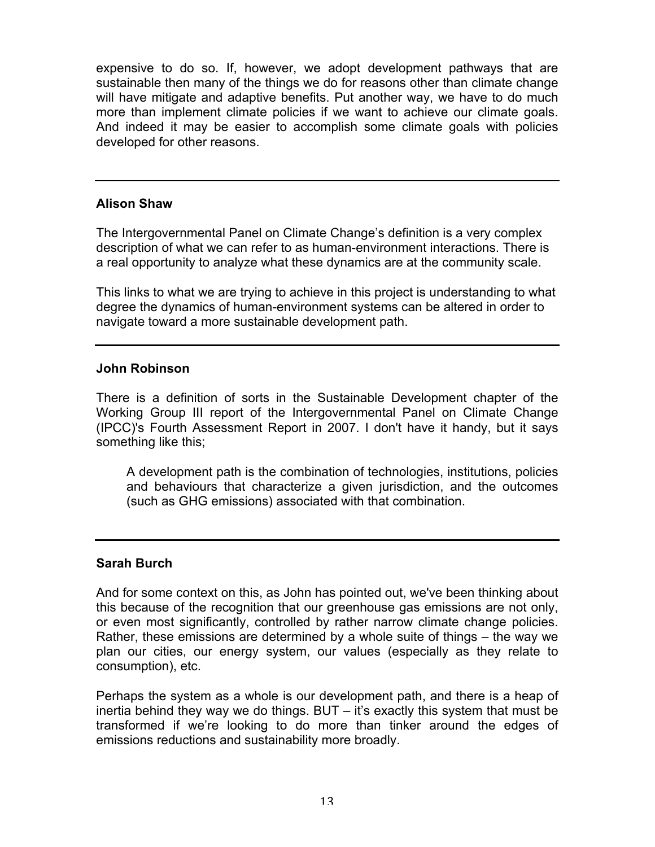expensive to do so. If, however, we adopt development pathways that are sustainable then many of the things we do for reasons other than climate change will have mitigate and adaptive benefits. Put another way, we have to do much more than implement climate policies if we want to achieve our climate goals. And indeed it may be easier to accomplish some climate goals with policies developed for other reasons.

### **Alison Shaw**

The Intergovernmental Panel on Climate Change's definition is a very complex description of what we can refer to as human-environment interactions. There is a real opportunity to analyze what these dynamics are at the community scale.

This links to what we are trying to achieve in this project is understanding to what degree the dynamics of human-environment systems can be altered in order to navigate toward a more sustainable development path.

### **John Robinson**

There is a definition of sorts in the Sustainable Development chapter of the Working Group III report of the Intergovernmental Panel on Climate Change (IPCC)'s Fourth Assessment Report in 2007. I don't have it handy, but it says something like this;

A development path is the combination of technologies, institutions, policies and behaviours that characterize a given jurisdiction, and the outcomes (such as GHG emissions) associated with that combination.

## **Sarah Burch**

And for some context on this, as John has pointed out, we've been thinking about this because of the recognition that our greenhouse gas emissions are not only, or even most significantly, controlled by rather narrow climate change policies. Rather, these emissions are determined by a whole suite of things – the way we plan our cities, our energy system, our values (especially as they relate to consumption), etc.

Perhaps the system as a whole is our development path, and there is a heap of inertia behind they way we do things. BUT – it's exactly this system that must be transformed if we're looking to do more than tinker around the edges of emissions reductions and sustainability more broadly.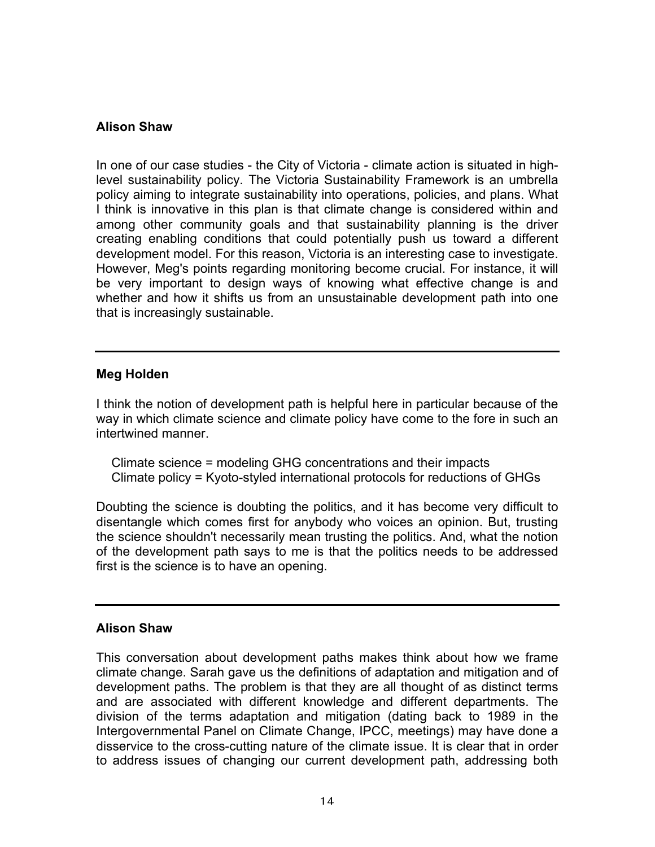## **Alison Shaw**

In one of our case studies - the City of Victoria - climate action is situated in highlevel sustainability policy. The Victoria Sustainability Framework is an umbrella policy aiming to integrate sustainability into operations, policies, and plans. What I think is innovative in this plan is that climate change is considered within and among other community goals and that sustainability planning is the driver creating enabling conditions that could potentially push us toward a different development model. For this reason, Victoria is an interesting case to investigate. However, Meg's points regarding monitoring become crucial. For instance, it will be very important to design ways of knowing what effective change is and whether and how it shifts us from an unsustainable development path into one that is increasingly sustainable.

## **Meg Holden**

I think the notion of development path is helpful here in particular because of the way in which climate science and climate policy have come to the fore in such an intertwined manner.

Climate science = modeling GHG concentrations and their impacts Climate policy = Kyoto-styled international protocols for reductions of GHGs

Doubting the science is doubting the politics, and it has become very difficult to disentangle which comes first for anybody who voices an opinion. But, trusting the science shouldn't necessarily mean trusting the politics. And, what the notion of the development path says to me is that the politics needs to be addressed first is the science is to have an opening.

#### **Alison Shaw**

This conversation about development paths makes think about how we frame climate change. Sarah gave us the definitions of adaptation and mitigation and of development paths. The problem is that they are all thought of as distinct terms and are associated with different knowledge and different departments. The division of the terms adaptation and mitigation (dating back to 1989 in the Intergovernmental Panel on Climate Change, IPCC, meetings) may have done a disservice to the cross-cutting nature of the climate issue. It is clear that in order to address issues of changing our current development path, addressing both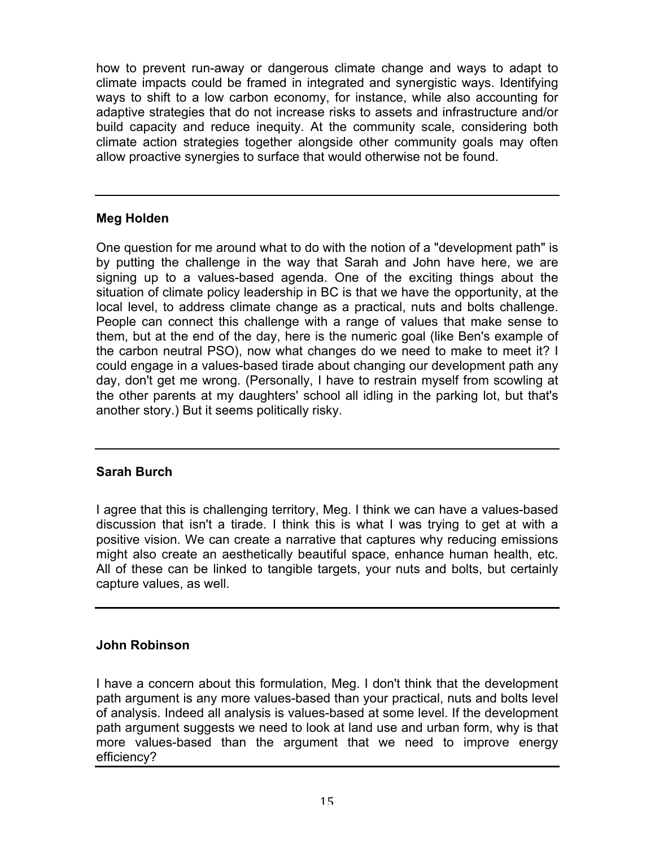how to prevent run-away or dangerous climate change and ways to adapt to climate impacts could be framed in integrated and synergistic ways. Identifying ways to shift to a low carbon economy, for instance, while also accounting for adaptive strategies that do not increase risks to assets and infrastructure and/or build capacity and reduce inequity. At the community scale, considering both climate action strategies together alongside other community goals may often allow proactive synergies to surface that would otherwise not be found.

# **Meg Holden**

One question for me around what to do with the notion of a "development path" is by putting the challenge in the way that Sarah and John have here, we are signing up to a values-based agenda. One of the exciting things about the situation of climate policy leadership in BC is that we have the opportunity, at the local level, to address climate change as a practical, nuts and bolts challenge. People can connect this challenge with a range of values that make sense to them, but at the end of the day, here is the numeric goal (like Ben's example of the carbon neutral PSO), now what changes do we need to make to meet it? I could engage in a values-based tirade about changing our development path any day, don't get me wrong. (Personally, I have to restrain myself from scowling at the other parents at my daughters' school all idling in the parking lot, but that's another story.) But it seems politically risky.

# **Sarah Burch**

I agree that this is challenging territory, Meg. I think we can have a values-based discussion that isn't a tirade. I think this is what I was trying to get at with a positive vision. We can create a narrative that captures why reducing emissions might also create an aesthetically beautiful space, enhance human health, etc. All of these can be linked to tangible targets, your nuts and bolts, but certainly capture values, as well.

# **John Robinson**

I have a concern about this formulation, Meg. I don't think that the development path argument is any more values-based than your practical, nuts and bolts level of analysis. Indeed all analysis is values-based at some level. If the development path argument suggests we need to look at land use and urban form, why is that more values-based than the argument that we need to improve energy efficiency?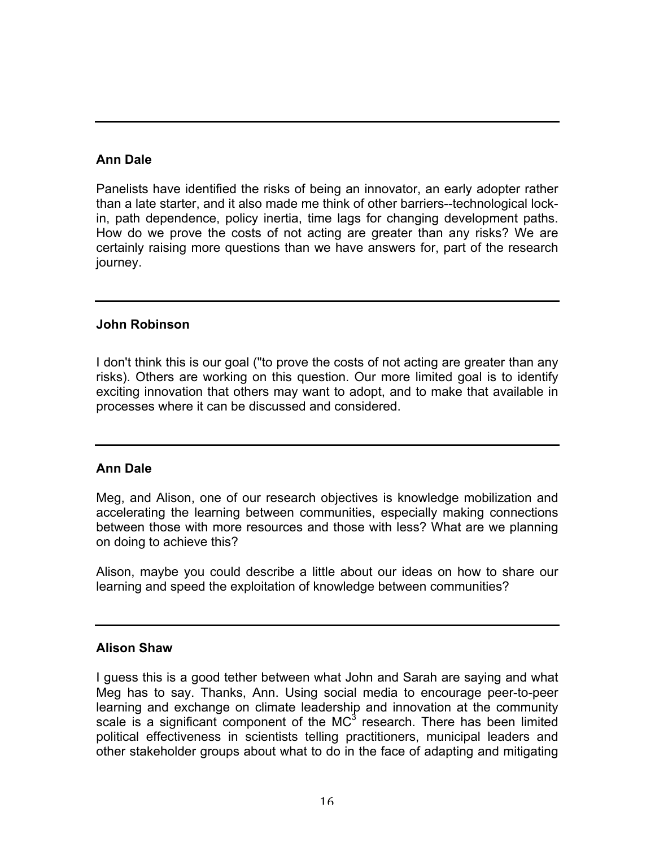# **Ann Dale**

Panelists have identified the risks of being an innovator, an early adopter rather than a late starter, and it also made me think of other barriers--technological lockin, path dependence, policy inertia, time lags for changing development paths. How do we prove the costs of not acting are greater than any risks? We are certainly raising more questions than we have answers for, part of the research journey.

## **John Robinson**

I don't think this is our goal ("to prove the costs of not acting are greater than any risks). Others are working on this question. Our more limited goal is to identify exciting innovation that others may want to adopt, and to make that available in processes where it can be discussed and considered.

## **Ann Dale**

Meg, and Alison, one of our research objectives is knowledge mobilization and accelerating the learning between communities, especially making connections between those with more resources and those with less? What are we planning on doing to achieve this?

Alison, maybe you could describe a little about our ideas on how to share our learning and speed the exploitation of knowledge between communities?

## **Alison Shaw**

I guess this is a good tether between what John and Sarah are saying and what Meg has to say. Thanks, Ann. Using social media to encourage peer-to-peer learning and exchange on climate leadership and innovation at the community scale is a significant component of the  $MC<sup>3</sup>$  research. There has been limited political effectiveness in scientists telling practitioners, municipal leaders and other stakeholder groups about what to do in the face of adapting and mitigating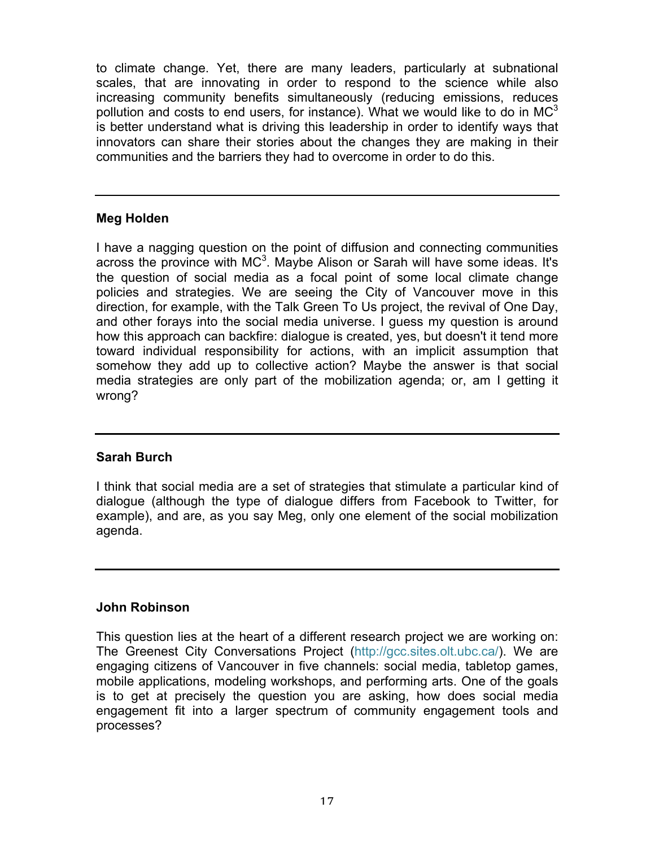to climate change. Yet, there are many leaders, particularly at subnational scales, that are innovating in order to respond to the science while also increasing community benefits simultaneously (reducing emissions, reduces pollution and costs to end users, for instance). What we would like to do in  $MC^3$ is better understand what is driving this leadership in order to identify ways that innovators can share their stories about the changes they are making in their communities and the barriers they had to overcome in order to do this.

## **Meg Holden**

I have a nagging question on the point of diffusion and connecting communities across the province with  $MC<sup>3</sup>$ . Maybe Alison or Sarah will have some ideas. It's the question of social media as a focal point of some local climate change policies and strategies. We are seeing the City of Vancouver move in this direction, for example, with the Talk Green To Us project, the revival of One Day, and other forays into the social media universe. I guess my question is around how this approach can backfire: dialogue is created, yes, but doesn't it tend more toward individual responsibility for actions, with an implicit assumption that somehow they add up to collective action? Maybe the answer is that social media strategies are only part of the mobilization agenda; or, am I getting it wrong?

## **Sarah Burch**

I think that social media are a set of strategies that stimulate a particular kind of dialogue (although the type of dialogue differs from Facebook to Twitter, for example), and are, as you say Meg, only one element of the social mobilization agenda.

## **John Robinson**

This question lies at the heart of a different research project we are working on: The Greenest City Conversations Project (http://gcc.sites.olt.ubc.ca/). We are engaging citizens of Vancouver in five channels: social media, tabletop games, mobile applications, modeling workshops, and performing arts. One of the goals is to get at precisely the question you are asking, how does social media engagement fit into a larger spectrum of community engagement tools and processes?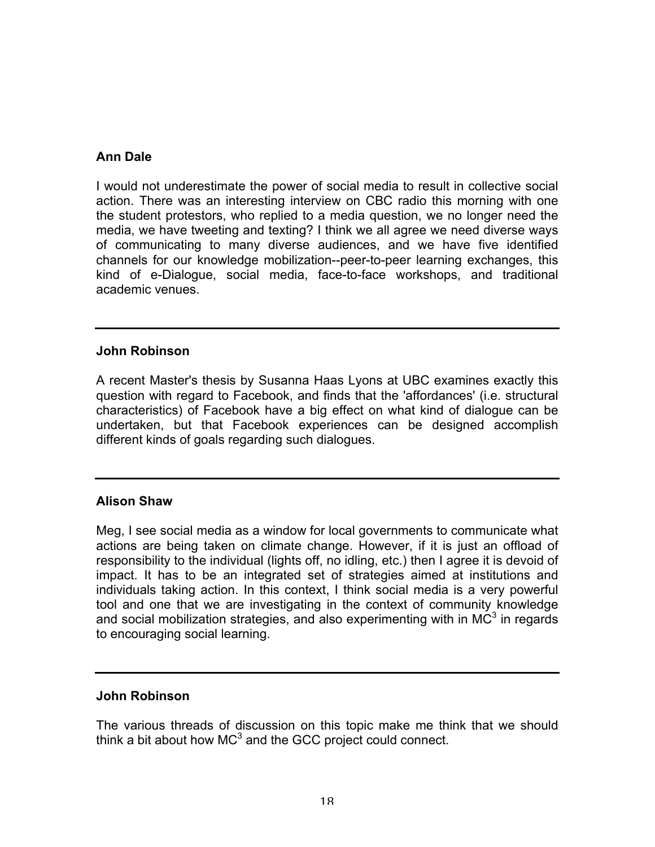## **Ann Dale**

I would not underestimate the power of social media to result in collective social action. There was an interesting interview on CBC radio this morning with one the student protestors, who replied to a media question, we no longer need the media, we have tweeting and texting? I think we all agree we need diverse ways of communicating to many diverse audiences, and we have five identified channels for our knowledge mobilization--peer-to-peer learning exchanges, this kind of e-Dialogue, social media, face-to-face workshops, and traditional academic venues.

### **John Robinson**

A recent Master's thesis by Susanna Haas Lyons at UBC examines exactly this question with regard to Facebook, and finds that the 'affordances' (i.e. structural characteristics) of Facebook have a big effect on what kind of dialogue can be undertaken, but that Facebook experiences can be designed accomplish different kinds of goals regarding such dialogues.

## **Alison Shaw**

Meg, I see social media as a window for local governments to communicate what actions are being taken on climate change. However, if it is just an offload of responsibility to the individual (lights off, no idling, etc.) then I agree it is devoid of impact. It has to be an integrated set of strategies aimed at institutions and individuals taking action. In this context, I think social media is a very powerful tool and one that we are investigating in the context of community knowledge and social mobilization strategies, and also experimenting with in  $\overline{MC}^3$  in regards to encouraging social learning.

#### **John Robinson**

The various threads of discussion on this topic make me think that we should think a bit about how  $MC^3$  and the GCC project could connect.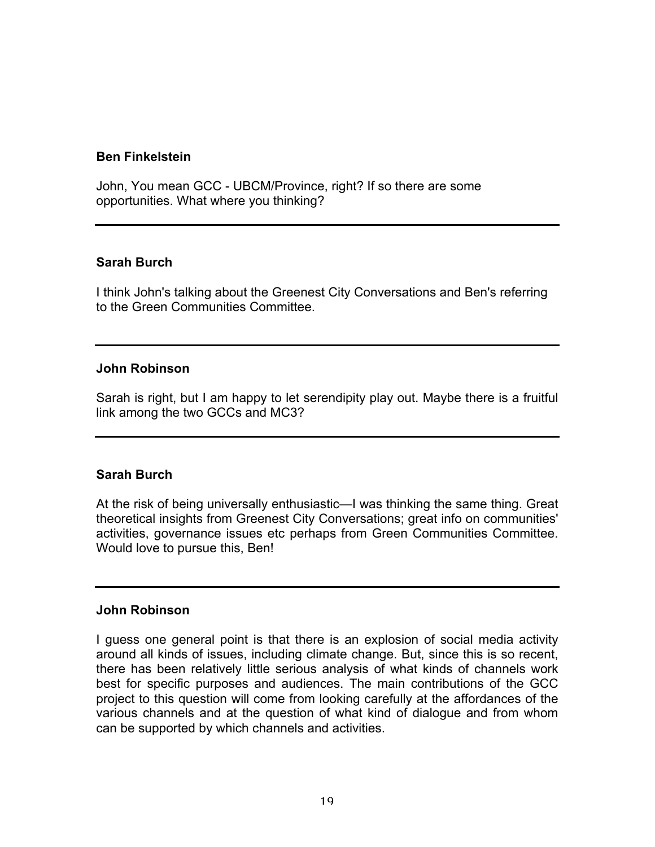### **Ben Finkelstein**

John, You mean GCC - UBCM/Province, right? If so there are some opportunities. What where you thinking?

### **Sarah Burch**

I think John's talking about the Greenest City Conversations and Ben's referring to the Green Communities Committee.

### **John Robinson**

Sarah is right, but I am happy to let serendipity play out. Maybe there is a fruitful link among the two GCCs and MC3?

## **Sarah Burch**

At the risk of being universally enthusiastic—I was thinking the same thing. Great theoretical insights from Greenest City Conversations; great info on communities' activities, governance issues etc perhaps from Green Communities Committee. Would love to pursue this, Ben!

#### **John Robinson**

I guess one general point is that there is an explosion of social media activity around all kinds of issues, including climate change. But, since this is so recent, there has been relatively little serious analysis of what kinds of channels work best for specific purposes and audiences. The main contributions of the GCC project to this question will come from looking carefully at the affordances of the various channels and at the question of what kind of dialogue and from whom can be supported by which channels and activities.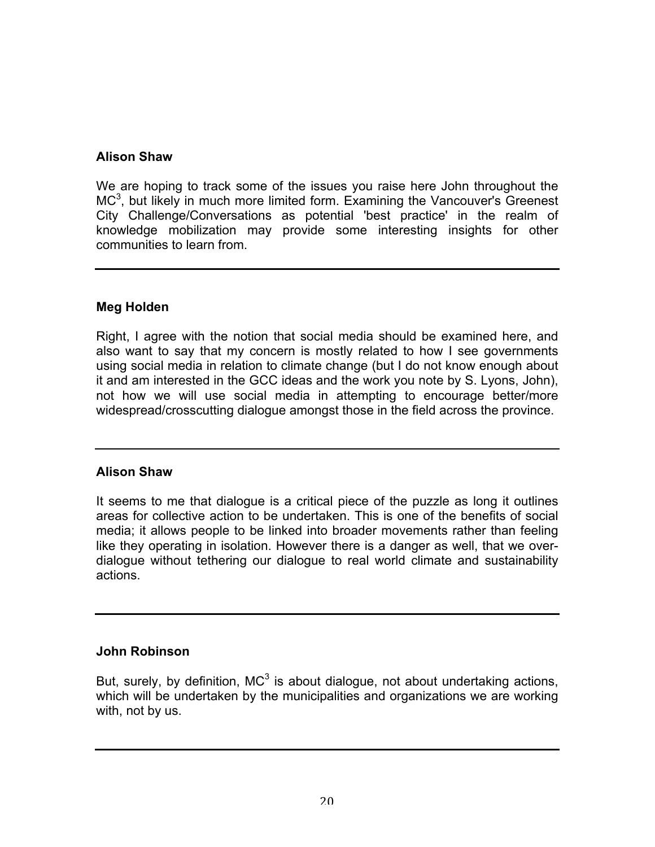## **Alison Shaw**

We are hoping to track some of the issues you raise here John throughout the  $MC<sup>3</sup>$ , but likely in much more limited form. Examining the Vancouver's Greenest City Challenge/Conversations as potential 'best practice' in the realm of knowledge mobilization may provide some interesting insights for other communities to learn from.

## **Meg Holden**

Right, I agree with the notion that social media should be examined here, and also want to say that my concern is mostly related to how I see governments using social media in relation to climate change (but I do not know enough about it and am interested in the GCC ideas and the work you note by S. Lyons, John), not how we will use social media in attempting to encourage better/more widespread/crosscutting dialogue amongst those in the field across the province.

# **Alison Shaw**

It seems to me that dialogue is a critical piece of the puzzle as long it outlines areas for collective action to be undertaken. This is one of the benefits of social media; it allows people to be linked into broader movements rather than feeling like they operating in isolation. However there is a danger as well, that we overdialogue without tethering our dialogue to real world climate and sustainability actions.

# **John Robinson**

But, surely, by definition,  $MC^3$  is about dialogue, not about undertaking actions, which will be undertaken by the municipalities and organizations we are working with, not by us.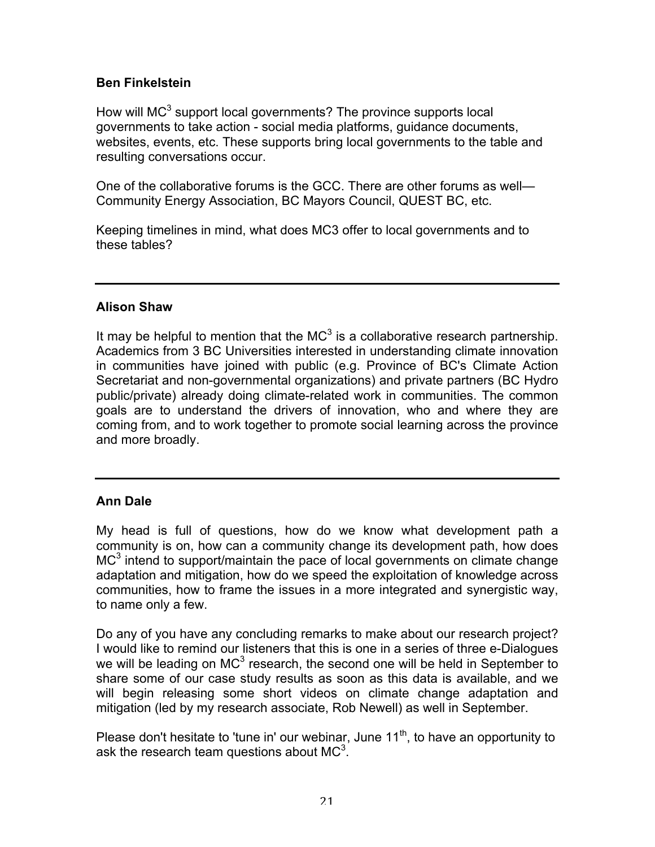# **Ben Finkelstein**

How will  $MC^3$  support local governments? The province supports local governments to take action - social media platforms, guidance documents, websites, events, etc. These supports bring local governments to the table and resulting conversations occur.

One of the collaborative forums is the GCC. There are other forums as well— Community Energy Association, BC Mayors Council, QUEST BC, etc.

Keeping timelines in mind, what does MC3 offer to local governments and to these tables?

## **Alison Shaw**

It may be helpful to mention that the  $MC^3$  is a collaborative research partnership. Academics from 3 BC Universities interested in understanding climate innovation in communities have joined with public (e.g. Province of BC's Climate Action Secretariat and non-governmental organizations) and private partners (BC Hydro public/private) already doing climate-related work in communities. The common goals are to understand the drivers of innovation, who and where they are coming from, and to work together to promote social learning across the province and more broadly.

# **Ann Dale**

My head is full of questions, how do we know what development path a community is on, how can a community change its development path, how does  $MC<sup>3</sup>$  intend to support/maintain the pace of local governments on climate change adaptation and mitigation, how do we speed the exploitation of knowledge across communities, how to frame the issues in a more integrated and synergistic way, to name only a few.

Do any of you have any concluding remarks to make about our research project? I would like to remind our listeners that this is one in a series of three e-Dialogues we will be leading on MC<sup>3</sup> research, the second one will be held in September to share some of our case study results as soon as this data is available, and we will begin releasing some short videos on climate change adaptation and mitigation (led by my research associate, Rob Newell) as well in September.

Please don't hesitate to 'tune in' our webinar, June  $11<sup>th</sup>$ , to have an opportunity to ask the research team questions about MC<sup>3</sup>.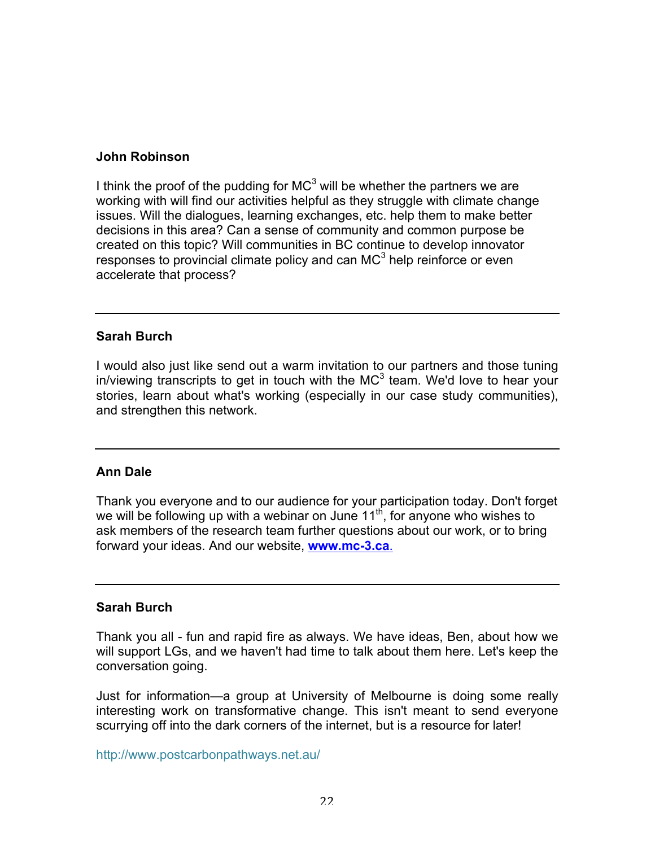### **John Robinson**

I think the proof of the pudding for  $MC^3$  will be whether the partners we are working with will find our activities helpful as they struggle with climate change issues. Will the dialogues, learning exchanges, etc. help them to make better decisions in this area? Can a sense of community and common purpose be created on this topic? Will communities in BC continue to develop innovator responses to provincial climate policy and can MC<sup>3</sup> help reinforce or even accelerate that process?

### **Sarah Burch**

I would also just like send out a warm invitation to our partners and those tuning in/viewing transcripts to get in touch with the  $MC^3$  team. We'd love to hear your stories, learn about what's working (especially in our case study communities), and strengthen this network.

## **Ann Dale**

Thank you everyone and to our audience for your participation today. Don't forget we will be following up with a webinar on June  $11<sup>th</sup>$ , for anyone who wishes to ask members of the research team further questions about our work, or to bring forward your ideas. And our website, **www.mc-3.ca**.

#### **Sarah Burch**

Thank you all - fun and rapid fire as always. We have ideas, Ben, about how we will support LGs, and we haven't had time to talk about them here. Let's keep the conversation going.

Just for information—a group at University of Melbourne is doing some really interesting work on transformative change. This isn't meant to send everyone scurrying off into the dark corners of the internet, but is a resource for later!

http://www.postcarbonpathways.net.au/